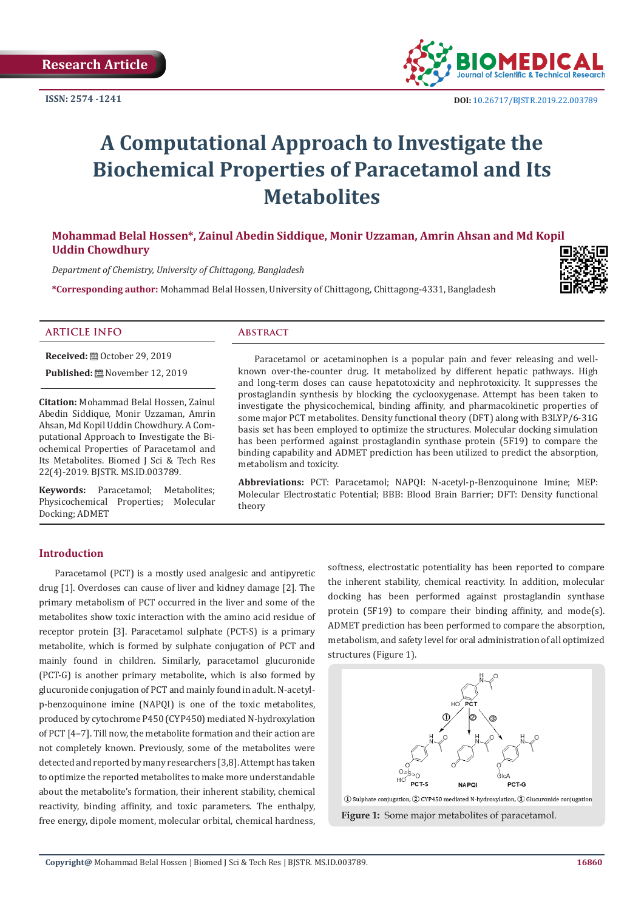**ISSN: 2574 -1241**



# **A Computational Approach to Investigate the Biochemical Properties of Paracetamol and Its Metabolites**

## **Mohammad Belal Hossen\*, Zainul Abedin Siddique, Monir Uzzaman, Amrin Ahsan and Md Kopil Uddin Chowdhury**

*Department of Chemistry, University of Chittagong, Bangladesh*

**\*Corresponding author:** Mohammad Belal Hossen, University of Chittagong, Chittagong-4331, Bangladesh



#### **ARTICLE INFO Abstract**

**Received:** ■ October 29, 2019 **Published:** November 12, 2019

**Citation:** Mohammad Belal Hossen, Zainul Abedin Siddique, Monir Uzzaman, Amrin Ahsan, Md Kopil Uddin Chowdhury. A Computational Approach to Investigate the Biochemical Properties of Paracetamol and Its Metabolites. Biomed J Sci & Tech Res 22(4)-2019. BJSTR. MS.ID.003789.

**Keywords:** Paracetamol; Metabolites; Physicochemical Properties; Molecular Docking; ADMET

Paracetamol or acetaminophen is a popular pain and fever releasing and wellknown over-the-counter drug. It metabolized by different hepatic pathways. High and long-term doses can cause hepatotoxicity and nephrotoxicity. It suppresses the prostaglandin synthesis by blocking the cyclooxygenase. Attempt has been taken to investigate the physicochemical, binding affinity, and pharmacokinetic properties of some major PCT metabolites. Density functional theory (DFT) along with B3LYP/6-31G basis set has been employed to optimize the structures. Molecular docking simulation has been performed against prostaglandin synthase protein (5F19) to compare the binding capability and ADMET prediction has been utilized to predict the absorption, metabolism and toxicity.

**Abbreviations:** PCT: Paracetamol; NAPQI: N-acetyl-p-Benzoquinone Imine; MEP: Molecular Electrostatic Potential; BBB: Blood Brain Barrier; DFT: Density functional theory

### **Introduction**

Paracetamol (PCT) is a mostly used analgesic and antipyretic drug [1]. Overdoses can cause of liver and kidney damage [2]. The primary metabolism of PCT occurred in the liver and some of the metabolites show toxic interaction with the amino acid residue of receptor protein [3]. Paracetamol sulphate (PCT-S) is a primary metabolite, which is formed by sulphate conjugation of PCT and mainly found in children. Similarly, paracetamol glucuronide (PCT-G) is another primary metabolite, which is also formed by glucuronide conjugation of PCT and mainly found in adult. N-acetylp-benzoquinone imine (NAPQI) is one of the toxic metabolites, produced by cytochrome P450 (CYP450) mediated N-hydroxylation of PCT [4–7]. Till now, the metabolite formation and their action are not completely known. Previously, some of the metabolites were detected and reported by many researchers [3,8]. Attempt has taken to optimize the reported metabolites to make more understandable about the metabolite's formation, their inherent stability, chemical reactivity, binding affinity, and toxic parameters. The enthalpy, free energy, dipole moment, molecular orbital, chemical hardness,

softness, electrostatic potentiality has been reported to compare the inherent stability, chemical reactivity. In addition, molecular docking has been performed against prostaglandin synthase protein (5F19) to compare their binding affinity, and mode(s). ADMET prediction has been performed to compare the absorption, metabolism, and safety level for oral administration of all optimized structures (Figure 1).

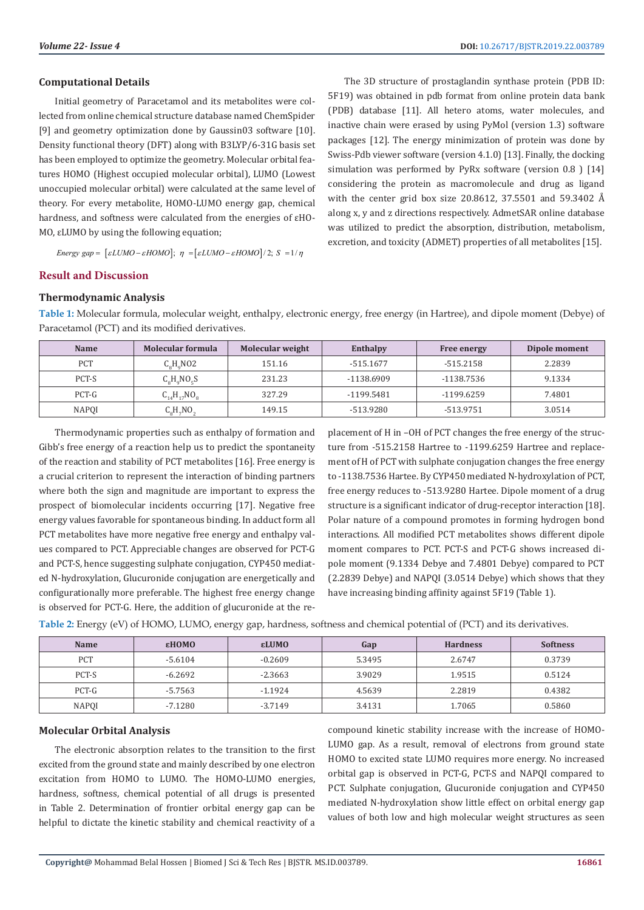#### **Computational Details**

Initial geometry of Paracetamol and its metabolites were collected from online chemical structure database named ChemSpider [9] and geometry optimization done by Gaussin03 software [10]. Density functional theory (DFT) along with B3LYP/6-31G basis set has been employed to optimize the geometry. Molecular orbital features HOMO (Highest occupied molecular orbital), LUMO (Lowest unoccupied molecular orbital) were calculated at the same level of theory. For every metabolite, HOMO-LUMO energy gap, chemical hardness, and softness were calculated from the energies of εHO-MO, εLUMO by using the following equation;

*Energy gap* =  $\left[\varepsilon LUMO - \varepsilon HOMO\right]$ ;  $\eta = \left[\varepsilon LUMO - \varepsilon HOMO\right]/2$ ;  $S = 1/\eta$ 

The 3D structure of prostaglandin synthase protein (PDB ID: 5F19) was obtained in pdb format from online protein data bank (PDB) database [11]. All hetero atoms, water molecules, and inactive chain were erased by using PyMol (version 1.3) software packages [12]. The energy minimization of protein was done by Swiss-Pdb viewer software (version 4.1.0) [13]. Finally, the docking simulation was performed by PyRx software (version 0.8 ) [14] considering the protein as macromolecule and drug as ligand with the center grid box size 20.8612, 37.5501 and 59.3402 Å along x, y and z directions respectively. AdmetSAR online database was utilized to predict the absorption, distribution, metabolism, excretion, and toxicity (ADMET) properties of all metabolites [15].

#### **Result and Discussion**

#### **Thermodynamic Analysis**

**Table 1:** Molecular formula, molecular weight, enthalpy, electronic energy, free energy (in Hartree), and dipole moment (Debye) of Paracetamol (PCT) and its modified derivatives.

| <b>Name</b> | Molecular formula<br>Molecular weight |        | Enthalpy    | <b>Free energy</b> | Dipole moment |  |
|-------------|---------------------------------------|--------|-------------|--------------------|---------------|--|
| <b>PCT</b>  | $C_{o}H_{o}NO2$                       | 151.16 | $-515.1677$ | -515.2158          | 2.2839        |  |
| PCT-S       | $C_0H_0NO_0S$                         | 231.23 | -1138.6909  | -1138.7536         | 9.1334        |  |
| PCT-G       | $C_{14}H_{17}NO_{8}$                  | 327.29 | -1199.5481  | -1199.6259         | 7.4801        |  |
| NAPOI       | $C_oH7NO2$                            | 149.15 | -513.9280   | -513.9751          | 3.0514        |  |

Thermodynamic properties such as enthalpy of formation and Gibb's free energy of a reaction help us to predict the spontaneity of the reaction and stability of PCT metabolites [16]. Free energy is a crucial criterion to represent the interaction of binding partners where both the sign and magnitude are important to express the prospect of biomolecular incidents occurring [17]. Negative free energy values favorable for spontaneous binding. In adduct form all PCT metabolites have more negative free energy and enthalpy values compared to PCT. Appreciable changes are observed for PCT-G and PCT-S, hence suggesting sulphate conjugation, CYP450 mediated N-hydroxylation, Glucuronide conjugation are energetically and configurationally more preferable. The highest free energy change is observed for PCT-G. Here, the addition of glucuronide at the re-

placement of H in –OH of PCT changes the free energy of the structure from -515.2158 Hartree to -1199.6259 Hartree and replacement of H of PCT with sulphate conjugation changes the free energy to -1138.7536 Hartee. By CYP450 mediated N-hydroxylation of PCT, free energy reduces to -513.9280 Hartee. Dipole moment of a drug structure is a significant indicator of drug-receptor interaction [18]. Polar nature of a compound promotes in forming hydrogen bond interactions. All modified PCT metabolites shows different dipole moment compares to PCT. PCT-S and PCT-G shows increased dipole moment (9.1334 Debye and 7.4801 Debye) compared to PCT (2.2839 Debye) and NAPQI (3.0514 Debye) which shows that they have increasing binding affinity against 5F19 (Table 1).

**Table 2:** Energy (eV) of HOMO, LUMO, energy gap, hardness, softness and chemical potential of (PCT) and its derivatives.

| <b>Name</b> | εHOMO     | εLUMO     | Gap    | <b>Hardness</b> | <b>Softness</b> |
|-------------|-----------|-----------|--------|-----------------|-----------------|
| <b>PCT</b>  | $-5.6104$ | $-0.2609$ | 5.3495 | 2.6747          | 0.3739          |
| PCT-S       | $-6.2692$ | $-2.3663$ | 3.9029 | 1.9515          | 0.5124          |
| PCT-G       | -5.7563   | $-1.1924$ | 4.5639 | 2.2819          | 0.4382          |
| NAPQI       | -7.1280   | $-3.7149$ | 3.4131 | 1.7065          | 0.5860          |

#### **Molecular Orbital Analysis**

The electronic absorption relates to the transition to the first excited from the ground state and mainly described by one electron excitation from HOMO to LUMO. The HOMO-LUMO energies, hardness, softness, chemical potential of all drugs is presented in Table 2. Determination of frontier orbital energy gap can be helpful to dictate the kinetic stability and chemical reactivity of a

compound kinetic stability increase with the increase of HOMO-LUMO gap. As a result, removal of electrons from ground state HOMO to excited state LUMO requires more energy. No increased orbital gap is observed in PCT-G, PCT-S and NAPQI compared to PCT. Sulphate conjugation, Glucuronide conjugation and CYP450 mediated N-hydroxylation show little effect on orbital energy gap values of both low and high molecular weight structures as seen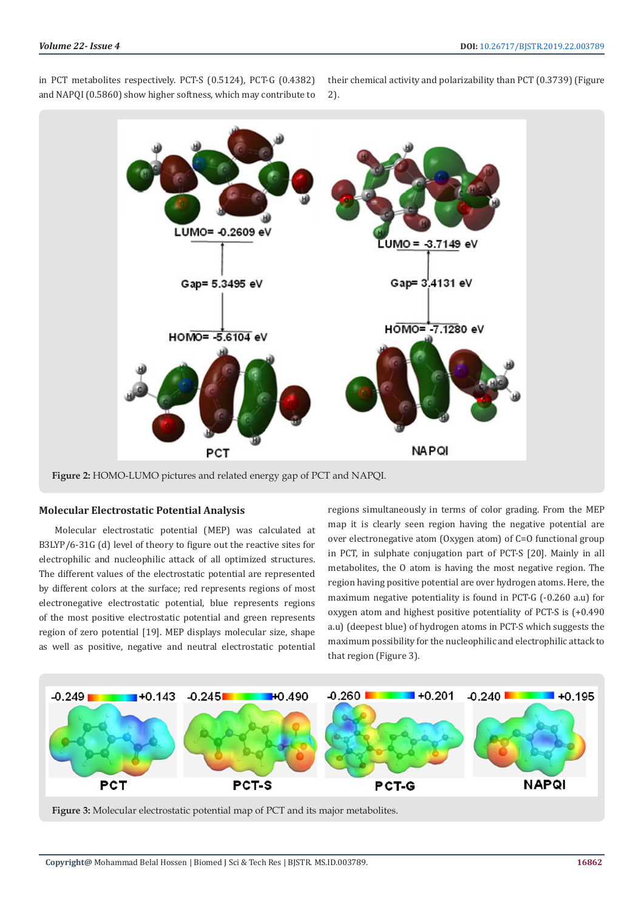

in PCT metabolites respectively. PCT-S (0.5124), PCT-G (0.4382) and NAPQI (0.5860) show higher softness, which may contribute to

their chemical activity and polarizability than PCT (0.3739) (Figure 2).

**Figure 2:** HOMO-LUMO pictures and related energy gap of PCT and NAPQI.

#### **Molecular Electrostatic Potential Analysis**

Molecular electrostatic potential (MEP) was calculated at B3LYP/6-31G (d) level of theory to figure out the reactive sites for electrophilic and nucleophilic attack of all optimized structures. The different values of the electrostatic potential are represented by different colors at the surface; red represents regions of most electronegative electrostatic potential, blue represents regions of the most positive electrostatic potential and green represents region of zero potential [19]. MEP displays molecular size, shape as well as positive, negative and neutral electrostatic potential regions simultaneously in terms of color grading. From the MEP map it is clearly seen region having the negative potential are over electronegative atom (Oxygen atom) of C=O functional group in PCT, in sulphate conjugation part of PCT-S [20]. Mainly in all metabolites, the O atom is having the most negative region. The region having positive potential are over hydrogen atoms. Here, the maximum negative potentiality is found in PCT-G (-0.260 a.u) for oxygen atom and highest positive potentiality of PCT-S is (+0.490 a.u) (deepest blue) of hydrogen atoms in PCT-S which suggests the maximum possibility for the nucleophilic and electrophilic attack to that region (Figure 3).



**Figure 3:** Molecular electrostatic potential map of PCT and its major metabolites.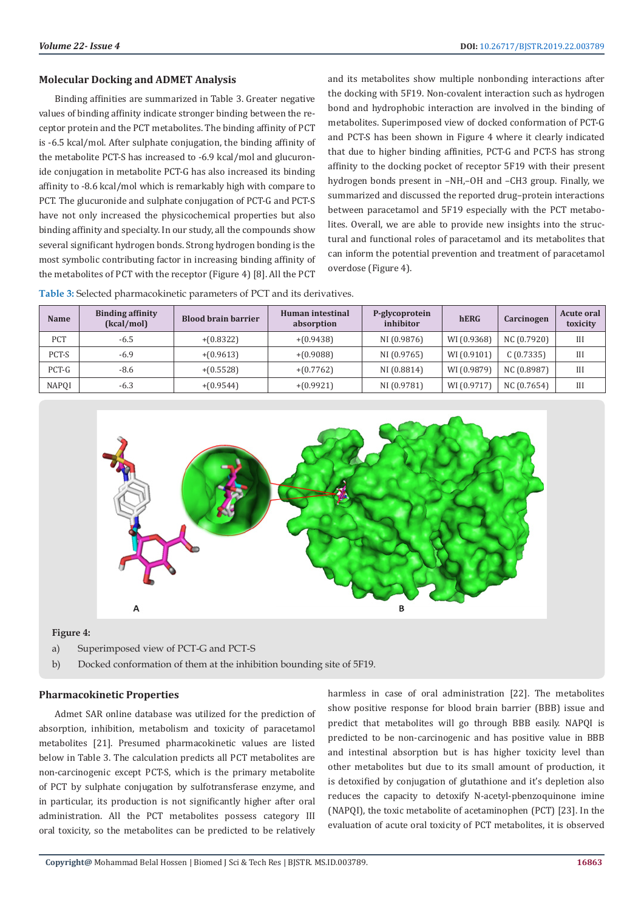#### **Molecular Docking and ADMET Analysis**

Binding affinities are summarized in Table 3. Greater negative values of binding affinity indicate stronger binding between the receptor protein and the PCT metabolites. The binding affinity of PCT is -6.5 kcal/mol. After sulphate conjugation, the binding affinity of the metabolite PCT-S has increased to -6.9 kcal/mol and glucuronide conjugation in metabolite PCT-G has also increased its binding affinity to -8.6 kcal/mol which is remarkably high with compare to PCT. The glucuronide and sulphate conjugation of PCT-G and PCT-S have not only increased the physicochemical properties but also binding affinity and specialty. In our study, all the compounds show several significant hydrogen bonds. Strong hydrogen bonding is the most symbolic contributing factor in increasing binding affinity of the metabolites of PCT with the receptor (Figure 4) [8]. All the PCT

and its metabolites show multiple nonbonding interactions after the docking with 5F19. Non-covalent interaction such as hydrogen bond and hydrophobic interaction are involved in the binding of metabolites. Superimposed view of docked conformation of PCT-G and PCT-S has been shown in Figure 4 where it clearly indicated that due to higher binding affinities, PCT-G and PCT-S has strong affinity to the docking pocket of receptor 5F19 with their present hydrogen bonds present in –NH,–OH and –CH3 group. Finally, we summarized and discussed the reported drug–protein interactions between paracetamol and 5F19 especially with the PCT metabolites. Overall, we are able to provide new insights into the structural and functional roles of paracetamol and its metabolites that can inform the potential prevention and treatment of paracetamol overdose (Figure 4).

| Name       | <b>Binding affinity</b><br>(kcal/mol) | <b>Blood brain barrier</b> | Human intestinal<br>absorption     | P-glycoprotein<br>inhibitor   | hERG        | <b>Carcinogen</b>                         | Acute oral<br>toxicity |
|------------|---------------------------------------|----------------------------|------------------------------------|-------------------------------|-------------|-------------------------------------------|------------------------|
| <b>PCT</b> | -6.5                                  | $+(0.8322)$                | $+(0.9438)$                        | NI (0.9876)                   | WI (0.9368) | NC (0.7920)                               | Ш                      |
| ----       | - -                                   | .                          | $\sim$ $\sim$ $\sim$ $\sim$ $\sim$ | $\cdots \cdots \cdots \cdots$ | . <i>.</i>  | $\sim$ $\sim$ $\sim$ $\sim$ $\sim$ $\sim$ | ---                    |

**Table 3:** Selected pharmacokinetic parameters of PCT and its derivatives.



PCT-S -6.9 +(0.9613) +(0.9088) NI (0.9765) WI (0.9101) C (0.7335) III PCT-G  $\begin{array}{|c|c|c|c|c|c|c|c|c|} \hline \end{array}$  +(0.5528)  $\begin{array}{|c|c|c|c|c|c|c|c|c|} \hline \end{array}$  NI (0.8814)  $\begin{array}{|c|c|c|c|c|c|c|c|} \hline \end{array}$  NC (0.8987)  $\begin{array}{|c|c|c|c|c|c|c|c|} \hline \end{array}$ NAPQI | -6.3 | +(0.9544) | +(0.9921) | NI (0.9781) |WI (0.9717) | NC (0.7654) | III

#### **Figure 4:**

- a) Superimposed view of PCT-G and PCT-S
- b) Docked conformation of them at the inhibition bounding site of 5F19.

#### **Pharmacokinetic Properties**

Admet SAR online database was utilized for the prediction of absorption, inhibition, metabolism and toxicity of paracetamol metabolites [21]. Presumed pharmacokinetic values are listed below in Table 3. The calculation predicts all PCT metabolites are non-carcinogenic except PCT-S, which is the primary metabolite of PCT by sulphate conjugation by sulfotransferase enzyme, and in particular, its production is not significantly higher after oral administration. All the PCT metabolites possess category III oral toxicity, so the metabolites can be predicted to be relatively

harmless in case of oral administration [22]. The metabolites show positive response for blood brain barrier (BBB) issue and predict that metabolites will go through BBB easily. NAPQI is predicted to be non-carcinogenic and has positive value in BBB and intestinal absorption but is has higher toxicity level than other metabolites but due to its small amount of production, it is detoxified by conjugation of glutathione and it's depletion also reduces the capacity to detoxify N-acetyl-pbenzoquinone imine (NAPQI), the toxic metabolite of acetaminophen (PCT) [23]. In the evaluation of acute oral toxicity of PCT metabolites, it is observed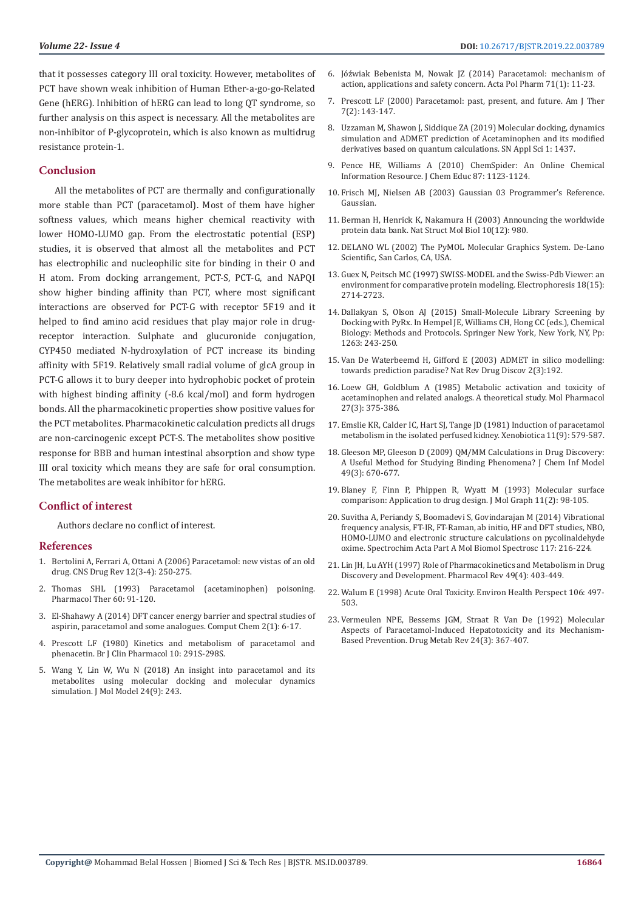that it possesses category III oral toxicity. However, metabolites of PCT have shown weak inhibition of Human Ether-a-go-go-Related Gene (hERG). Inhibition of hERG can lead to long QT syndrome, so further analysis on this aspect is necessary. All the metabolites are non-inhibitor of P-glycoprotein, which is also known as multidrug resistance protein-1.

#### **Conclusion**

All the metabolites of PCT are thermally and configurationally more stable than PCT (paracetamol). Most of them have higher softness values, which means higher chemical reactivity with lower HOMO-LUMO gap. From the electrostatic potential (ESP) studies, it is observed that almost all the metabolites and PCT has electrophilic and nucleophilic site for binding in their O and H atom. From docking arrangement, PCT-S, PCT-G, and NAPQI show higher binding affinity than PCT, where most significant interactions are observed for PCT-G with receptor 5F19 and it helped to find amino acid residues that play major role in drugreceptor interaction. Sulphate and glucuronide conjugation, CYP450 mediated N-hydroxylation of PCT increase its binding affinity with 5F19. Relatively small radial volume of glcA group in PCT-G allows it to bury deeper into hydrophobic pocket of protein with highest binding affinity (-8.6 kcal/mol) and form hydrogen bonds. All the pharmacokinetic properties show positive values for the PCT metabolites. Pharmacokinetic calculation predicts all drugs are non-carcinogenic except PCT-S. The metabolites show positive response for BBB and human intestinal absorption and show type III oral toxicity which means they are safe for oral consumption. The metabolites are weak inhibitor for hERG.

#### **Conflict of interest**

Authors declare no conflict of interest.

#### **References**

- 1. [Bertolini A, Ferrari A, Ottani A \(2006\) Paracetamol: new vistas of an old](https://www.ncbi.nlm.nih.gov/pubmed/17227290)  [drug. CNS Drug Rev 12\(3-4\): 250-275.](https://www.ncbi.nlm.nih.gov/pubmed/17227290)
- 2. [Thomas SHL \(1993\) Paracetamol \(acetaminophen\) poisoning.](https://www.ncbi.nlm.nih.gov/pubmed/26479248)  [Pharmacol Ther 60: 91-120.](https://www.ncbi.nlm.nih.gov/pubmed/26479248)
- 3. [El-Shahawy A \(2014\) DFT cancer energy barrier and spectral studies of](https://www.scirp.org/journal/PaperInformation.aspx?PaperID=41827)  [aspirin, paracetamol and some analogues. Comput Chem 2\(1\): 6-17.](https://www.scirp.org/journal/PaperInformation.aspx?PaperID=41827)
- 4. [Prescott LF \(1980\) Kinetics and metabolism of paracetamol and](https://www.ncbi.nlm.nih.gov/pmc/articles/PMC1430174/)  [phenacetin. Br J Clin Pharmacol 10: 291S-298S.](https://www.ncbi.nlm.nih.gov/pmc/articles/PMC1430174/)
- 5. [Wang Y, Lin W, Wu N \(2018\) An insight into paracetamol and its](https://www.ncbi.nlm.nih.gov/pubmed/30121710)  [metabolites using molecular docking and molecular dynamics](https://www.ncbi.nlm.nih.gov/pubmed/30121710)  [simulation. J Mol Model 24\(9\): 243.](https://www.ncbi.nlm.nih.gov/pubmed/30121710)
- 6. [Jóźwiak Bebenista M, Nowak JZ \(2014\) Paracetamol: mechanism of](https://www.ncbi.nlm.nih.gov/pubmed/24779190) [action, applications and safety concern. Acta Pol Pharm 71\(1\): 11-23.](https://www.ncbi.nlm.nih.gov/pubmed/24779190)
- 7. [Prescott LF \(2000\) Paracetamol: past, present, and future. Am J Ther](https://www.ncbi.nlm.nih.gov/pubmed/11319582) [7\(2\): 143-147.](https://www.ncbi.nlm.nih.gov/pubmed/11319582)
- 8. [Uzzaman M, Shawon J, Siddique ZA \(2019\) Molecular docking, dynamics](https://link.springer.com/article/10.1007/s42452-019-1442-z) [simulation and ADMET prediction of Acetaminophen and its modified](https://link.springer.com/article/10.1007/s42452-019-1442-z) [derivatives based on quantum calculations. SN Appl Sci 1: 1437.](https://link.springer.com/article/10.1007/s42452-019-1442-z)
- 9. Pence HE, Williams A (2010) ChemSpider: An Online Chemical Information Resource. J Chem Educ 87: 1123-1124.
- 10. Frisch MJ, Nielsen AB (2003) Gaussian 03 Programmer's Reference. Gaussian.
- 11. [Berman H, Henrick K, Nakamura H \(2003\) Announcing the worldwide](https://www.ncbi.nlm.nih.gov/pubmed/14634627) [protein data bank. Nat Struct Mol Biol 10\(12\): 980.](https://www.ncbi.nlm.nih.gov/pubmed/14634627)
- 12. [DELANO WL \(2002\) The PyMOL Molecular Graphics System. De-Lano](https://pymol.org/2/) [Scientific, San Carlos, CA, USA.](https://pymol.org/2/)
- 13. [Guex N, Peitsch MC \(1997\) SWISS-MODEL and the Swiss-Pdb Viewer: an](https://www.ncbi.nlm.nih.gov/pubmed/9504803) [environment for comparative protein modeling. Electrophoresis 18\(15\):](https://www.ncbi.nlm.nih.gov/pubmed/9504803) [2714-2723.](https://www.ncbi.nlm.nih.gov/pubmed/9504803)
- 14. [Dallakyan S, Olson AJ \(2015\) Small-Molecule Library Screening by](https://www.ncbi.nlm.nih.gov/pubmed/25618350) [Docking with PyRx. In Hempel JE, Williams CH, Hong CC \(eds.\), Chemical](https://www.ncbi.nlm.nih.gov/pubmed/25618350) [Biology: Methods and Protocols. Springer New York, New York, NY, Pp:](https://www.ncbi.nlm.nih.gov/pubmed/25618350) [1263: 243-250.](https://www.ncbi.nlm.nih.gov/pubmed/25618350)
- 15. [Van De Waterbeemd H, Gifford E \(2003\) ADMET in silico modelling:](https://www.ncbi.nlm.nih.gov/pubmed/12612645) [towards prediction paradise? Nat Rev Drug Discov 2\(3\):192.](https://www.ncbi.nlm.nih.gov/pubmed/12612645)
- 16. [Loew GH, Goldblum A \(1985\) Metabolic activation and toxicity of](https://www.ncbi.nlm.nih.gov/pubmed/2983185) [acetaminophen and related analogs. A theoretical study. Mol Pharmacol](https://www.ncbi.nlm.nih.gov/pubmed/2983185) [27\(3\): 375-386.](https://www.ncbi.nlm.nih.gov/pubmed/2983185)
- 17. [Emslie KR, Calder IC, Hart SJ, Tange JD \(1981\) Induction of paracetamol](https://www.ncbi.nlm.nih.gov/pubmed/7314640) [metabolism in the isolated perfused kidney. Xenobiotica 11\(9\): 579-587.](https://www.ncbi.nlm.nih.gov/pubmed/7314640)
- 18. [Gleeson MP, Gleeson D \(2009\) QM/MM Calculations in Drug Discovery:](https://www.ncbi.nlm.nih.gov/pubmed/19434900) [A Useful Method for Studying Binding Phenomena? J Chem Inf Model](https://www.ncbi.nlm.nih.gov/pubmed/19434900) [49\(3\): 670-677.](https://www.ncbi.nlm.nih.gov/pubmed/19434900)
- 19. [Blaney F, Finn P, Phippen R, Wyatt M \(1993\) Molecular surface](https://www.sciencedirect.com/science/article/abs/pii/026378559387003N) [comparison: Application to drug design. J Mol Graph 11\(2\): 98-105.](https://www.sciencedirect.com/science/article/abs/pii/026378559387003N)
- 20. [Suvitha A, Periandy S, Boomadevi S, Govindarajan M \(2014\) Vibrational](https://www.ncbi.nlm.nih.gov/pubmed/23994677) [frequency analysis, FT-IR, FT-Raman, ab initio, HF and DFT studies, NBO,](https://www.ncbi.nlm.nih.gov/pubmed/23994677) [HOMO-LUMO and electronic structure calculations on pycolinaldehyde](https://www.ncbi.nlm.nih.gov/pubmed/23994677) [oxime. Spectrochim Acta Part A Mol Biomol Spectrosc 117: 216-224.](https://www.ncbi.nlm.nih.gov/pubmed/23994677)
- 21. [Lin JH, Lu AYH \(1997\) Role of Pharmacokinetics and Metabolism in Drug](https://www.ncbi.nlm.nih.gov/pubmed/9443165) [Discovery and Development. Pharmacol Rev 49\(4\): 403-449.](https://www.ncbi.nlm.nih.gov/pubmed/9443165)
- 22. [Walum E \(1998\) Acute Oral Toxicity. Environ Health Perspect 106: 497-](https://www.ncbi.nlm.nih.gov/pmc/articles/PMC1533392/) [503.](https://www.ncbi.nlm.nih.gov/pmc/articles/PMC1533392/)
- 23. [Vermeulen NPE, Bessems JGM, Straat R Van De \(1992\) Molecular](https://www.ncbi.nlm.nih.gov/pubmed/1628537) [Aspects of Paracetamol-Induced Hepatotoxicity and its Mechanism-](https://www.ncbi.nlm.nih.gov/pubmed/1628537)[Based Prevention. Drug Metab Rev 24\(3\): 367-407.](https://www.ncbi.nlm.nih.gov/pubmed/1628537)